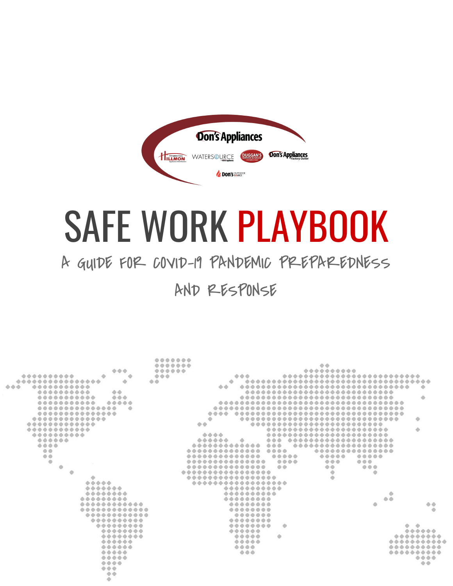

# SAFE WORK PLAYBOOK

# A GUIDE FOR COVID-19 PANDEMIC PREPAREDNESS

AND RESPONSE

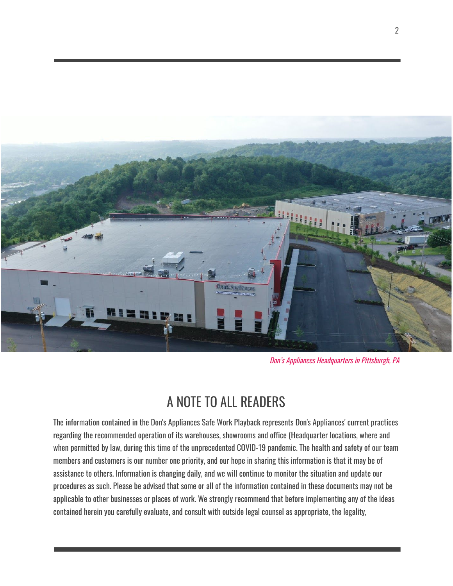

Don's Appliances Headquarters in Pittsburgh, PA

# A NOTE TO ALL READERS

<span id="page-1-0"></span>The information contained in the Don's Appliances Safe Work Playback represents Don's Appliances' current practices regarding the recommended operation of its warehouses, showrooms and office (Headquarter locations, where and when permitted by law, during this time of the unprecedented COVID-19 pandemic. The health and safety of our team members and customers is our number one priority, and our hope in sharing this information is that it may be of assistance to others. Information is changing daily, and we will continue to monitor the situation and update our procedures as such. Please be advised that some or all of the information contained in these documents may not be applicable to other businesses or places of work. We strongly recommend that before implementing any of the ideas contained herein you carefully evaluate, and consult with outside legal counsel as appropriate, the legality,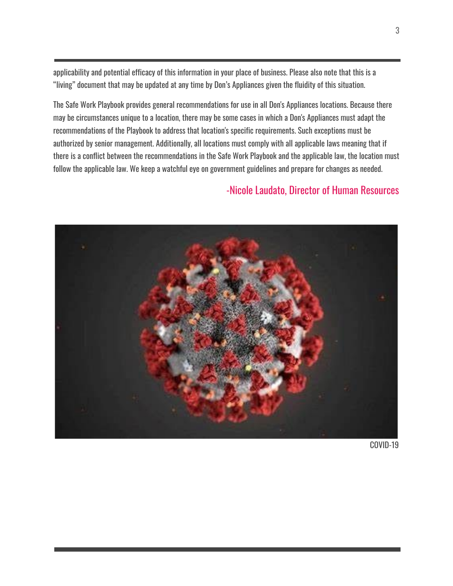applicability and potential efficacy of this information in your place of business. Please also note that this is a "living" document that may be updated at any time by Don's Appliances given the fluidity of this situation.

The Safe Work Playbook provides general recommendations for use in all Don's Appliances locations. Because there may be circumstances unique to a location, there may be some cases in which a Don's Appliances must adapt the recommendations of the Playbook to address that location's specific requirements. Such exceptions must be authorized by senior management. Additionally, all locations must comply with all applicable laws meaning that if there is a conflict between the recommendations in the Safe Work Playbook and the applicable law, the location must follow the applicable law. We keep a watchful eye on government guidelines and prepare for changes as needed.

#### -Nicole Laudato, Director of Human Resources



COVID-19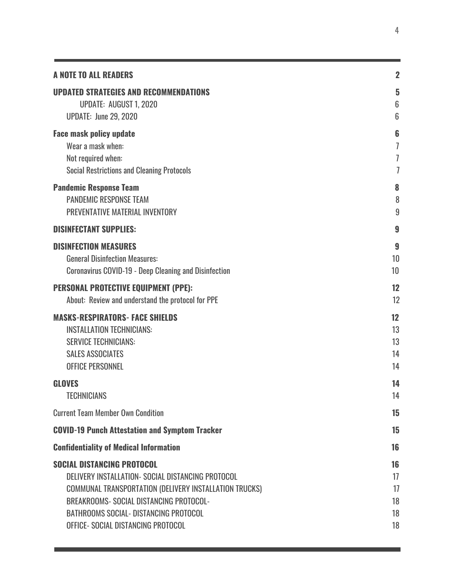| <b>A NOTE TO ALL READERS</b>                                  | $\overline{2}$  |
|---------------------------------------------------------------|-----------------|
| <b>UPDATED STRATEGIES AND RECOMMENDATIONS</b>                 | 5               |
| <b>UPDATE: AUGUST 1, 2020</b>                                 | $6\phantom{1}6$ |
| <b>UPDATE: June 29, 2020</b>                                  | $6\phantom{1}$  |
| <b>Face mask policy update</b>                                | $6\phantom{1}6$ |
| Wear a mask when:                                             | 7               |
| Not required when:                                            | 7               |
| <b>Social Restrictions and Cleaning Protocols</b>             | $\overline{1}$  |
| <b>Pandemic Response Team</b>                                 | 8               |
| <b>PANDEMIC RESPONSE TEAM</b>                                 | 8               |
| PREVENTATIVE MATERIAL INVENTORY                               | 9               |
| <b>DISINFECTANT SUPPLIES:</b>                                 | 9               |
| <b>DISINFECTION MEASURES</b>                                  | 9               |
| <b>General Disinfection Measures:</b>                         | 10              |
| <b>Coronavirus COVID-19 - Deep Cleaning and Disinfection</b>  | 10              |
| <b>PERSONAL PROTECTIVE EQUIPMENT (PPE):</b>                   | 12              |
| About: Review and understand the protocol for PPE             | 12              |
| <b>MASKS-RESPIRATORS- FACE SHIELDS</b>                        | 12              |
| <b>INSTALLATION TECHNICIANS:</b>                              | 13              |
| <b>SERVICE TECHNICIANS:</b>                                   | 13              |
| <b>SALES ASSOCIATES</b>                                       | 14              |
| <b>OFFICE PERSONNEL</b>                                       | 14              |
| <b>GLOVES</b>                                                 | 14              |
| <b>TECHNICIANS</b>                                            | 14              |
| <b>Current Team Member Own Condition</b>                      | 15              |
| <b>COVID-19 Punch Attestation and Symptom Tracker</b>         | 15              |
| <b>Confidentiality of Medical Information</b>                 | 16              |
| <b>SOCIAL DISTANCING PROTOCOL</b>                             | 16              |
| DELIVERY INSTALLATION- SOCIAL DISTANCING PROTOCOL             | 17              |
| <b>COMMUNAL TRANSPORTATION (DELIVERY INSTALLATION TRUCKS)</b> | 17              |
| BREAKROOMS- SOCIAL DISTANCING PROTOCOL-                       | 18              |
| <b>BATHROOMS SOCIAL- DISTANCING PROTOCOL</b>                  | 18              |
| OFFICE- SOCIAL DISTANCING PROTOCOL                            | 18              |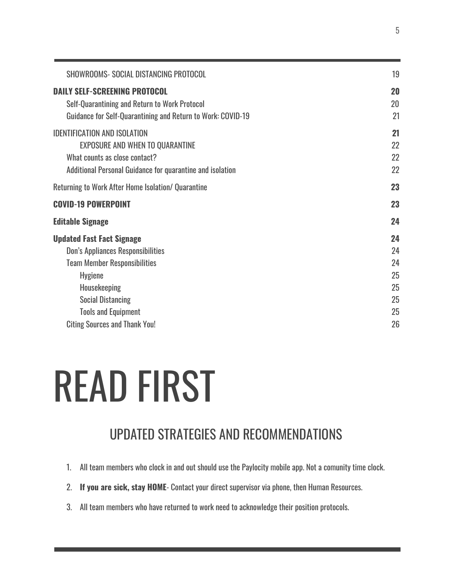| SHOWROOMS- SOCIAL DISTANCING PROTOCOL                                                                                                                                                                                                                   | 19                                           |
|---------------------------------------------------------------------------------------------------------------------------------------------------------------------------------------------------------------------------------------------------------|----------------------------------------------|
| <b>DAILY SELF-SCREENING PROTOCOL</b><br>Self-Quarantining and Return to Work Protocol<br>Guidance for Self-Quarantining and Return to Work: COVID-19                                                                                                    | 20<br>20<br>21                               |
| <b>IDENTIFICATION AND ISOLATION</b><br><b>EXPOSURE AND WHEN TO QUARANTINE</b><br>What counts as close contact?<br>Additional Personal Guidance for quarantine and isolation                                                                             | 21<br>22<br>22<br>22                         |
| Returning to Work After Home Isolation/ Quarantine                                                                                                                                                                                                      | 23                                           |
| <b>COVID-19 POWERPOINT</b>                                                                                                                                                                                                                              | 23                                           |
| <b>Editable Signage</b>                                                                                                                                                                                                                                 | 24                                           |
| <b>Updated Fast Fact Signage</b><br><b>Don's Appliances Responsibilities</b><br><b>Team Member Responsibilities</b><br><b>Hygiene</b><br>Housekeeping<br><b>Social Distancing</b><br><b>Tools and Equipment</b><br><b>Citing Sources and Thank You!</b> | 24<br>24<br>24<br>25<br>25<br>25<br>25<br>26 |
|                                                                                                                                                                                                                                                         |                                              |

# READ FIRST

# UPDATED STRATEGIES AND RECOMMENDATIONS

- <span id="page-4-0"></span>1. All team members who clock in and out should use the Paylocity mobile app. Not a comunity time clock.
- 2. **If you are sick, stay HOME** Contact your direct supervisor via phone, then Human Resources.
- 3. All team members who have returned to work need to acknowledge their position protocols.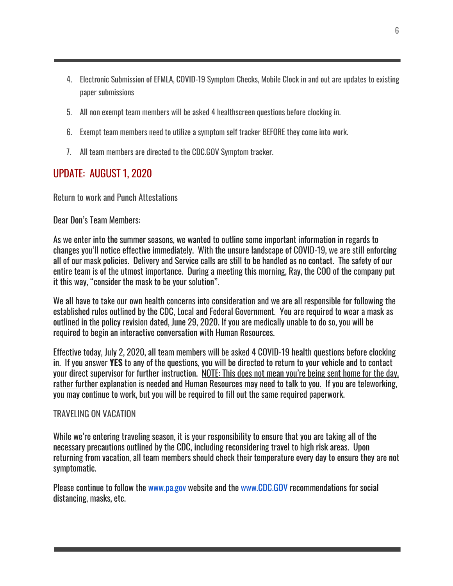- 4. Electronic Submission of EFMLA, COVID-19 Symptom Checks, Mobile Clock in and out are updates to existing paper submissions
- 5. All non exempt team members will be asked 4 healthscreen questions before clocking in.
- 6. Exempt team members need to utilize a symptom self tracker BEFORE they come into work.
- 7. All team members are directed to the CDC.GOV Symptom tracker.

#### <span id="page-5-0"></span>UPDATE: AUGUST 1, 2020

Return to work and Punch Attestations

#### Dear Don's Team Members:

As we enter into the summer seasons, we wanted to outline some important information in regards to changes you'll notice effective immediately. With the unsure landscape of COVID-19, we are still enforcing all of our mask policies. Delivery and Service calls are still to be handled as no contact. The safety of our entire team is of the utmost importance. During a meeting this morning, Ray, the COO of the company put it this way, "consider the mask to be your solution".

We all have to take our own health concerns into consideration and we are all responsible for following the established rules outlined by the CDC, Local and Federal Government. You are required to wear a mask as outlined in the policy revision dated, June 29, 2020. If you are medically unable to do so, you will be required to begin an interactive conversation with Human Resources.

Effective today, July 2, 2020, all team members will be asked 4 COVID-19 health questions before clocking in. If you answer **YES** to any of the questions, you will be directed to return to your vehicle and to contact your direct supervisor for further instruction. NOTE: This does not mean you're being sent home for the day, rather further explanation is needed and Human Resources may need to talk to you. If you are teleworking, you may continue to work, but you will be required to fill out the same required paperwork.

#### TRAVELING ON VACATION

While we're entering traveling season, it is your responsibility to ensure that you are taking all of the necessary precautions outlined by the CDC, including reconsidering travel to high risk areas. Upon returning from vacation, all team members should check their temperature every day to ensure they are not symptomatic.

Please continue to follow the [www.pa.gov](http://www.pa.gov/) website and the [www.CDC.GOV](http://www.cdc.gov/) recommendations for social distancing, masks, etc.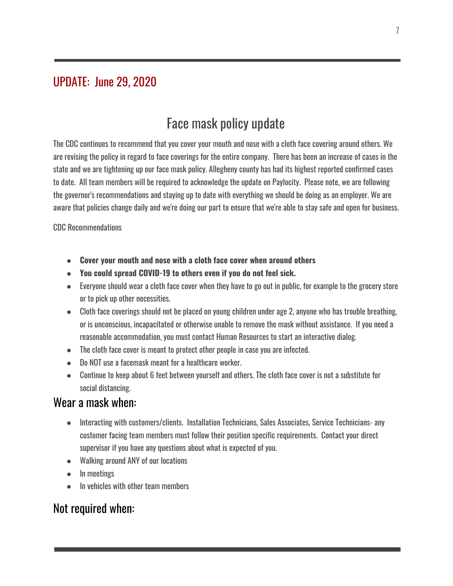#### <span id="page-6-1"></span><span id="page-6-0"></span>UPDATE: June 29, 2020

## Face mask policy update

The CDC continues to recommend that you cover your mouth and nose with a cloth face covering around others. We are revising the policy in regard to face coverings for the entire company. There has been an increase of cases in the state and we are tightening up our face mask policy. Allegheny county has had its highest reported confirmed cases to date. All team members will be required to acknowledge the update on Paylocity. Please note, we are following the governor's recommendations and staying up to date with everything we should be doing as an employer. We are aware that policies change daily and we're doing our part to ensure that we're able to stay safe and open for business.

CDC Recommendations

- **● Cover your mouth and nose with a cloth face cover when around others**
- **● You could spread COVID-19 to others even if you do not feel sick.**
- Everyone should wear a cloth face cover when they have to go out in public, for example to the grocery store or to pick up other necessities.
- Cloth face coverings should not be placed on young children under age 2, anyone who has trouble breathing, or is unconscious, incapacitated or otherwise unable to remove the mask without assistance. If you need a reasonable accommodation, you must contact Human Resources to start an interactive dialog.
- The cloth face cover is meant to protect other people in case you are infected.
- Do NOT use a facemask meant for a healthcare worker.
- Continue to keep about 6 feet between yourself and others. The cloth face cover is not a substitute for social distancing.

#### <span id="page-6-2"></span>Wear a mask when:

- Interacting with customers/clients. Installation Technicians, Sales Associates, Service Technicians- any customer facing team members must follow their position specific requirements. Contact your direct supervisor if you have any questions about what is expected of you.
- Walking around ANY of our locations
- In meetings
- In vehicles with other team members

#### <span id="page-6-3"></span>Not required when: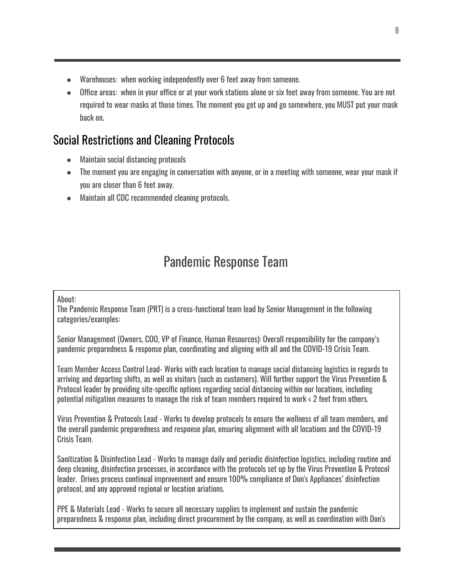- Warehouses: when working independently over 6 feet away from someone.
- Office areas: when in your office or at your work stations alone or six feet away from someone. You are not required to wear masks at those times. The moment you get up and go somewhere, you MUST put your mask back on.

#### <span id="page-7-0"></span>Social Restrictions and Cleaning Protocols

- Maintain social distancing protocols
- The moment you are engaging in conversation with anyone, or in a meeting with someone, wear your mask if you are closer than 6 feet away.
- Maintain all CDC recommended cleaning protocols.

### Pandemic Response Team

#### <span id="page-7-1"></span>About:

The Pandemic Response Team (PRT) is a cross-functional team lead by Senior Management in the following categories/examples:

Senior Management (Owners, COO, VP of Finance, Human Resources): Overall responsibility for the company's pandemic preparedness & response plan, coordinating and aligning with all and the COVID-19 Crisis Team.

Team Member Access Control Lead- Works with each location to manage social distancing logistics in regards to arriving and departing shifts, as well as visitors (such as customers). Will further support the Virus Prevention & Protocol leader by providing site-specific options regarding social distancing within our locations, including potential mitigation measures to manage the risk of team members required to work < 2 feet from others.

Virus Prevention & Protocols Lead - Works to develop protocols to ensure the wellness of all team members, and the overall pandemic preparedness and response plan, ensuring alignment with all locations and the COVID-19 Crisis Team.

Sanitization & Disinfection Lead - Works to manage daily and periodic disinfection logistics, including routine and deep cleaning, disinfection processes, in accordance with the protocols set up by the Virus Prevention & Protocol leader. Drives process continual improvement and ensure 100% compliance of Don's Appliances' disinfection protocol, and any approved regional or location ariations.

PPE & Materials Lead - Works to secure all necessary supplies to implement and sustain the pandemic preparedness & response plan, including direct procurement by the company, as well as coordination with Don's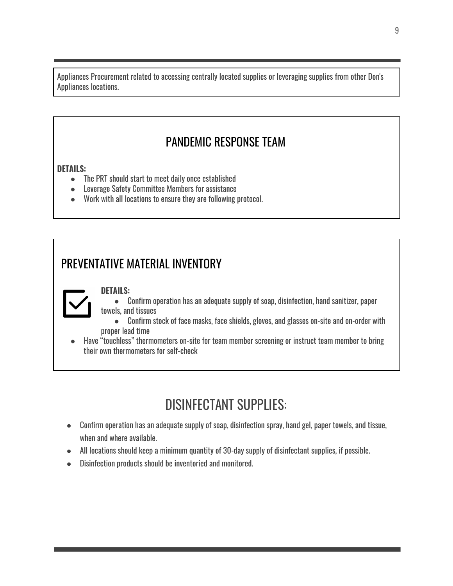Appliances Procurement related to accessing centrally located supplies or leveraging supplies from other Don's Appliances locations.

#### PANDEMIC RESPONSE TEAM

#### <span id="page-8-0"></span>**DETAILS:**

- The PRT should start to meet daily once established
- Leverage Safety Committee Members for assistance
- Work with all locations to ensure they are following protocol.

#### <span id="page-8-1"></span>PREVENTATIVE MATERIAL INVENTORY

#### **DETAILS:**



- Confirm operation has an adequate supply of soap, disinfection, hand sanitizer, paper towels, and tissues
- Confirm stock of face masks, face shields, gloves, and glasses on-site and on-order with proper lead time
- <span id="page-8-2"></span>● Have "touchless" thermometers on-site for team member screening or instruct team member to bring their own thermometers for self-check

# DISINFECTANT SUPPLIES:

- Confirm operation has an adequate supply of soap, disinfection spray, hand gel, paper towels, and tissue, when and where available.
- All locations should keep a minimum quantity of 30-day supply of disinfectant supplies, if possible.
- Disinfection products should be inventoried and monitored.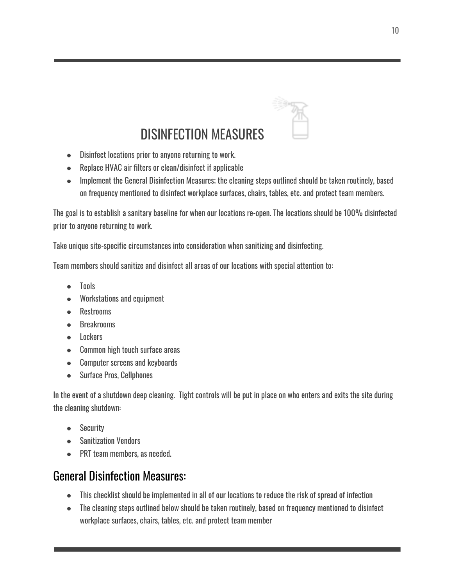

# DISINFECTION MEASURES

- <span id="page-9-0"></span>● Disinfect locations prior to anyone returning to work.
- Replace HVAC air filters or clean/disinfect if applicable
- Implement the General Disinfection Measures; the cleaning steps outlined should be taken routinely, based on frequency mentioned to disinfect workplace surfaces, chairs, tables, etc. and protect team members.

The goal is to establish a sanitary baseline for when our locations re-open. The locations should be 100% disinfected prior to anyone returning to work.

Take unique site-specific circumstances into consideration when sanitizing and disinfecting.

Team members should sanitize and disinfect all areas of our locations with special attention to:

- Tools
- Workstations and equipment
- Restrooms
- Breakrooms
- Lockers
- Common high touch surface areas
- Computer screens and keyboards
- Surface Pros, Cellphones

In the event of a shutdown deep cleaning. Tight controls will be put in place on who enters and exits the site during the cleaning shutdown:

- Security
- Sanitization Vendors
- PRT team members, as needed.

#### <span id="page-9-1"></span>General Disinfection Measures:

- This checklist should be implemented in all of our locations to reduce the risk of spread of infection
- The cleaning steps outlined below should be taken routinely, based on frequency mentioned to disinfect workplace surfaces, chairs, tables, etc. and protect team member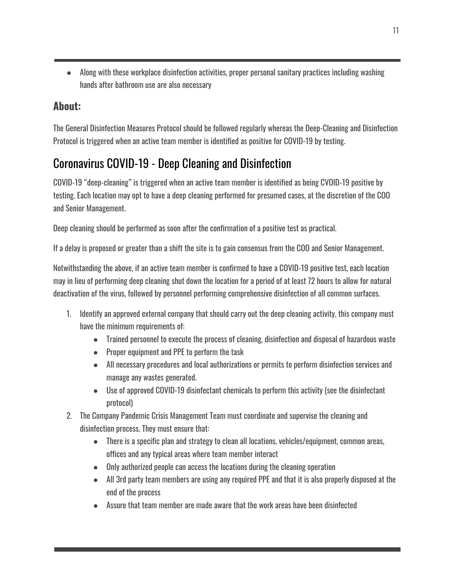● Along with these workplace disinfection activities, proper personal sanitary practices including washing hands after bathroom use are also necessary

#### **About:**

The General Disinfection Measures Protocol should be followed regularly whereas the Deep-Cleaning and Disinfection Protocol is triggered when an active team member is identified as positive for COVID-19 by testing.

### <span id="page-10-0"></span>Coronavirus COVID-19 - Deep Cleaning and Disinfection

COVID-19 "deep-cleaning" is triggered when an active team member is identified as being CVOID-19 positive by testing. Each location may opt to have a deep cleaning performed for presumed cases, at the discretion of the COO and Senior Management.

Deep cleaning should be performed as soon after the confirmation of a positive test as practical.

If a delay is proposed or greater than a shift the site is to gain consensus from the COO and Senior Management.

Notwithstanding the above, if an active team member is confirmed to have a COVID-19 positive test, each location may in lieu of performing deep cleaning shut down the location for a period of at least 72 hours to allow for natural deactivation of the virus, followed by personnel performing comprehensive disinfection of all common surfaces.

- 1. Identify an approved external company that should carry out the deep cleaning activity, this company must have the minimum requirements of:
	- Trained personnel to execute the process of cleaning, disinfection and disposal of hazardous waste
	- Proper equipment and PPE to perform the task
	- All necessary procedures and local authorizations or permits to perform disinfection services and manage any wastes generated.
	- Use of approved COVID-19 disinfectant chemicals to perform this activity (see the disinfectant protocol)
- 2. The Company Pandemic Crisis Management Team must coordinate and supervise the cleaning and disinfection process. They must ensure that:
	- There is a specific plan and strategy to clean all locations, vehicles/equipment, common areas, offices and any typical areas where team member interact
	- Only authorized people can access the locations during the cleaning operation
	- All 3rd party team members are using any required PPE and that it is also properly disposed at the end of the process
	- Assure that team member are made aware that the work areas have been disinfected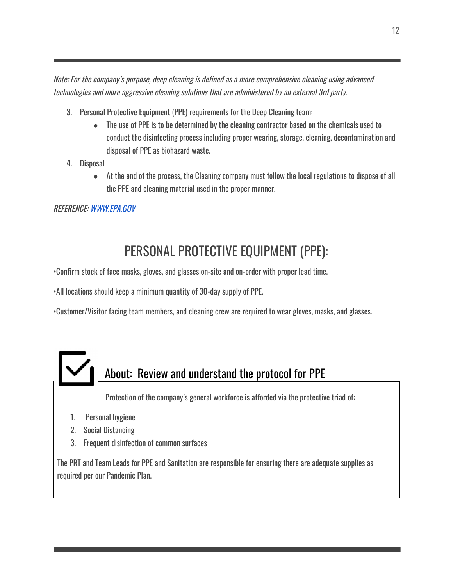Note: For the company's purpose, deep cleaning is defined as <sup>a</sup> more comprehensive cleaning using advanced technologies and more aggressive cleaning solutions that are administered by an external 3rd party.

- 3. Personal Protective Equipment (PPE) requirements for the Deep Cleaning team:
	- The use of PPE is to be determined by the cleaning contractor based on the chemicals used to conduct the disinfecting process including proper wearing, storage, cleaning, decontamination and disposal of PPE as biohazard waste.
- 4. Disposal
	- At the end of the process, the Cleaning company must follow the local regulations to dispose of all the PPE and cleaning material used in the proper manner.

#### <span id="page-11-0"></span>REFERENCE: [WWW.EPA.GOV](http://www.epa.gov/)

# PERSONAL PROTECTIVE EQUIPMENT (PPE):

•Confirm stock of face masks, gloves, and glasses on-site and on-order with proper lead time.

•All locations should keep a minimum quantity of 30-day supply of PPE.

•Customer/Visitor facing team members, and cleaning crew are required to wear gloves, masks, and glasses.

# <span id="page-11-1"></span>About: Review and understand the protocol for PPE

Protection of the company's general workforce is afforded via the protective triad of:

- 1. Personal hygiene
- 2. Social Distancing
- 3. Frequent disinfection of common surfaces

The PRT and Team Leads for PPE and Sanitation are responsible for ensuring there are adequate supplies as required per our Pandemic Plan.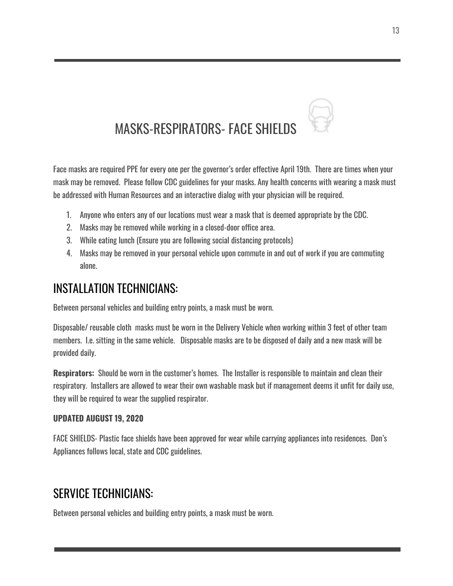<span id="page-12-0"></span>

Face masks are required PPE for every one per the governor's order effective April 19th. There are times when your mask may be removed. Please follow CDC guidelines for your masks. Any health concerns with wearing a mask must be addressed with Human Resources and an interactive dialog with your physician will be required.

- 1. Anyone who enters any of our locations must wear a mask that is deemed appropriate by the CDC.
- 2. Masks may be removed while working in a closed-door office area.
- 3. While eating lunch (Ensure you are following social distancing protocols)
- 4. Masks may be removed in your personal vehicle upon commute in and out of work if you are commuting alone.

#### <span id="page-12-1"></span>INSTALLATION TECHNICIANS:

Between personal vehicles and building entry points, a mask must be worn.

Disposable/ reusable cloth masks must be worn in the Delivery Vehicle when working within 3 feet of other team members. I.e. sitting in the same vehicle. Disposable masks are to be disposed of daily and a new mask will be provided daily.

**Respirators:** Should be worn in the customer's homes. The Installer is responsible to maintain and clean their respiratory. Installers are allowed to wear their own washable mask but if management deems it unfit for daily use, they will be required to wear the supplied respirator.

#### **UPDATED AUGUST 19, 2020**

FACE SHIELDS- Plastic face shields have been approved for wear while carrying appliances into residences. Don's Appliances follows local, state and CDC guidelines.

#### <span id="page-12-2"></span>SERVICE TECHNICIANS:

Between personal vehicles and building entry points, a mask must be worn.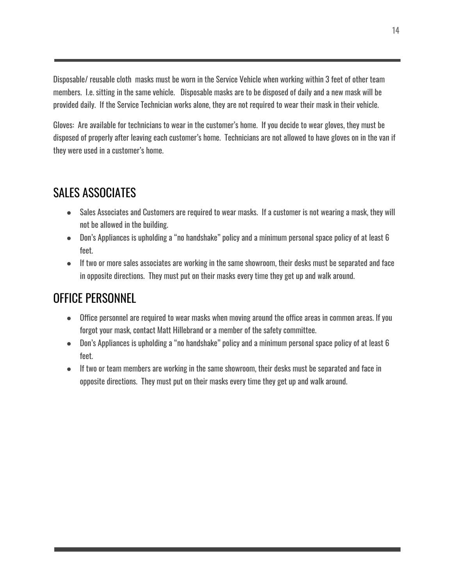Disposable/ reusable cloth masks must be worn in the Service Vehicle when working within 3 feet of other team members. I.e. sitting in the same vehicle. Disposable masks are to be disposed of daily and a new mask will be provided daily. If the Service Technician works alone, they are not required to wear their mask in their vehicle.

Gloves: Are available for technicians to wear in the customer's home. If you decide to wear gloves, they must be disposed of properly after leaving each customer's home. Technicians are not allowed to have gloves on in the van if they were used in a customer's home.

#### <span id="page-13-0"></span>SALES ASSOCIATES

- Sales Associates and Customers are required to wear masks. If a customer is not wearing a mask, they will not be allowed in the building.
- Don's Appliances is upholding a "no handshake" policy and a minimum personal space policy of at least 6 feet.
- If two or more sales associates are working in the same showroom, their desks must be separated and face in opposite directions. They must put on their masks every time they get up and walk around.

#### <span id="page-13-1"></span>OFFICE PERSONNEL

- Office personnel are required to wear masks when moving around the office areas in common areas. If you forgot your mask, contact Matt Hillebrand or a member of the safety committee.
- Don's Appliances is upholding a "no handshake" policy and a minimum personal space policy of at least 6 feet.
- If two or team members are working in the same showroom, their desks must be separated and face in opposite directions. They must put on their masks every time they get up and walk around.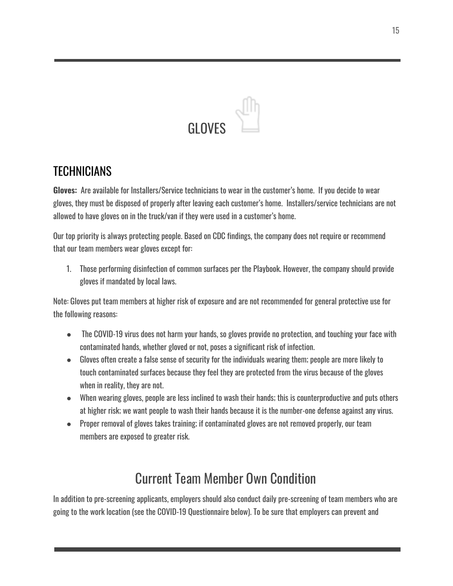# **GLOVES**

#### <span id="page-14-1"></span><span id="page-14-0"></span>**TECHNICIANS**

**Gloves:** Are available for Installers/Service technicians to wear in the customer's home. If you decide to wear gloves, they must be disposed of properly after leaving each customer's home. Installers/service technicians are not allowed to have gloves on in the truck/van if they were used in a customer's home.

Our top priority is always protecting people. Based on CDC findings, the company does not require or recommend that our team members wear gloves except for:

1. Those performing disinfection of common surfaces per the Playbook. However, the company should provide gloves if mandated by local laws.

Note: Gloves put team members at higher risk of exposure and are not recommended for general protective use for the following reasons:

- The COVID-19 virus does not harm your hands, so gloves provide no protection, and touching your face with contaminated hands, whether gloved or not, poses a significant risk of infection.
- Gloves often create a false sense of security for the individuals wearing them; people are more likely to touch contaminated surfaces because they feel they are protected from the virus because of the gloves when in reality, they are not.
- When wearing gloves, people are less inclined to wash their hands; this is counterproductive and puts others at higher risk; we want people to wash their hands because it is the number-one defense against any virus.
- <span id="page-14-2"></span>● Proper removal of gloves takes training; if contaminated gloves are not removed properly, our team members are exposed to greater risk.

## Current Team Member Own Condition

In addition to pre-screening applicants, employers should also conduct daily pre-screening of team members who are going to the work location (see the COVID-19 Questionnaire below). To be sure that employers can prevent and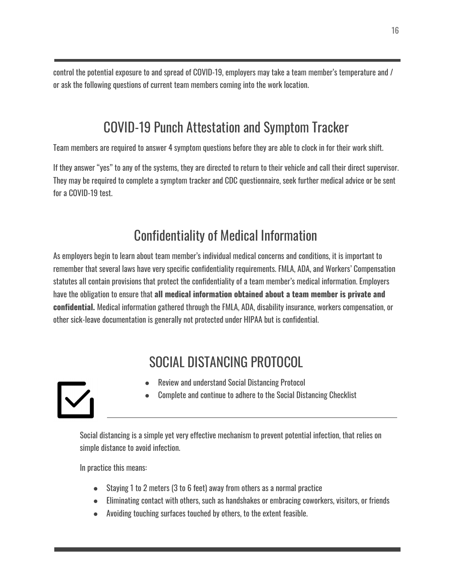<span id="page-15-0"></span>control the potential exposure to and spread of COVID-19, employers may take a team member's temperature and / or ask the following questions of current team members coming into the work location.

# COVID-19 Punch Attestation and Symptom Tracker

Team members are required to answer 4 symptom questions before they are able to clock in for their work shift.

<span id="page-15-1"></span>If they answer "yes" to any of the systems, they are directed to return to their vehicle and call their direct supervisor. They may be required to complete a symptom tracker and CDC questionnaire, seek further medical advice or be sent for a COVID-19 test.

## Confidentiality of Medical Information

As employers begin to learn about team member's individual medical concerns and conditions, it is important to remember that several laws have very specific confidentiality requirements. FMLA, ADA, and Workers' Compensation statutes all contain provisions that protect the confidentiality of a team member's medical information. Employers have the obligation to ensure that **all medical information obtained about a team member is private and confidential.** Medical information gathered through the FMLA, ADA, disability insurance, workers compensation, or other sick-leave documentation is generally not protected under HIPAA but is confidential.

# SOCIAL DISTANCING PROTOCOL

- Review and understand Social Distancing Protocol
- Complete and continue to adhere to the Social Distancing Checklist

<span id="page-15-2"></span>

Social distancing is a simple yet very effective mechanism to prevent potential infection, that relies on simple distance to avoid infection.

In practice this means:

- Staying 1 to 2 meters (3 to 6 feet) away from others as a normal practice
- Eliminating contact with others, such as handshakes or embracing coworkers, visitors, or friends
- Avoiding touching surfaces touched by others, to the extent feasible.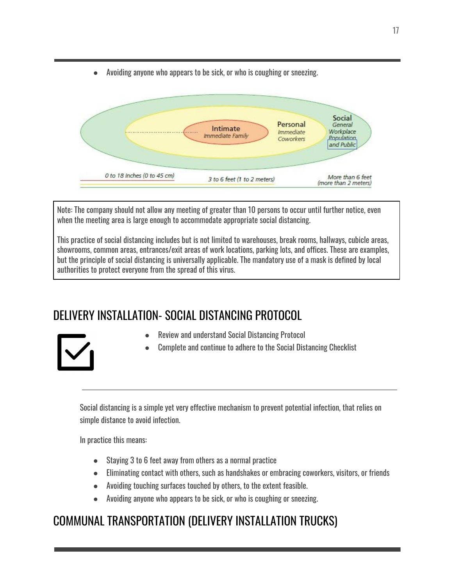● Avoiding anyone who appears to be sick, or who is coughing or sneezing.



Note: The company should not allow any meeting of greater than 10 persons to occur until further notice, even when the meeting area is large enough to accommodate appropriate social distancing.

This practice of social distancing includes but is not limited to warehouses, break rooms, hallways, cubicle areas, showrooms, common areas, entrances/exit areas of work locations, parking lots, and offices. These are examples, but the principle of social distancing is universally applicable. The mandatory use of a mask is defined by local authorities to protect everyone from the spread of this virus.

#### <span id="page-16-0"></span>DELIVERY INSTALLATION- SOCIAL DISTANCING PROTOCOL



Complete and continue to adhere to the Social Distancing Checklist

Social distancing is a simple yet very effective mechanism to prevent potential infection, that relies on simple distance to avoid infection.

In practice this means:

- Staying 3 to 6 feet away from others as a normal practice
- Eliminating contact with others, such as handshakes or embracing coworkers, visitors, or friends
- Avoiding touching surfaces touched by others, to the extent feasible.
- Avoiding anyone who appears to be sick, or who is coughing or sneezing.

#### <span id="page-16-1"></span>COMMUNAL TRANSPORTATION (DELIVERY INSTALLATION TRUCKS)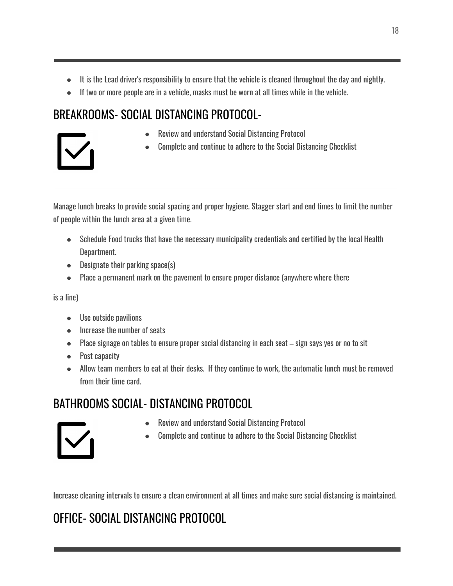- It is the Lead driver's responsibility to ensure that the vehicle is cleaned throughout the day and nightly.
- If two or more people are in a vehicle, masks must be worn at all times while in the vehicle.

### <span id="page-17-0"></span>BREAKROOMS- SOCIAL DISTANCING PROTOCOL-



- Review and understand Social Distancing Protocol
- Complete and continue to adhere to the Social Distancing Checklist

Manage lunch breaks to provide social spacing and proper hygiene. Stagger start and end times to limit the number of people within the lunch area at a given time.

- Schedule Food trucks that have the necessary municipality credentials and certified by the local Health Department.
- Designate their parking space(s)
- Place a permanent mark on the pavement to ensure proper distance (anywhere where there

is a line)

- Use outside pavilions
- Increase the number of seats
- Place signage on tables to ensure proper social distancing in each seat sign says yes or no to sit
- Post capacity
- Allow team members to eat at their desks. If they continue to work, the automatic lunch must be removed from their time card.

### <span id="page-17-1"></span>BATHROOMS SOCIAL- DISTANCING PROTOCOL

- **Review and understand Social Distancing Protocol**
- Complete and continue to adhere to the Social Distancing Checklist

Increase cleaning intervals to ensure a clean environment at all times and make sure social distancing is maintained.

# <span id="page-17-2"></span>OFFICE- SOCIAL DISTANCING PROTOCOL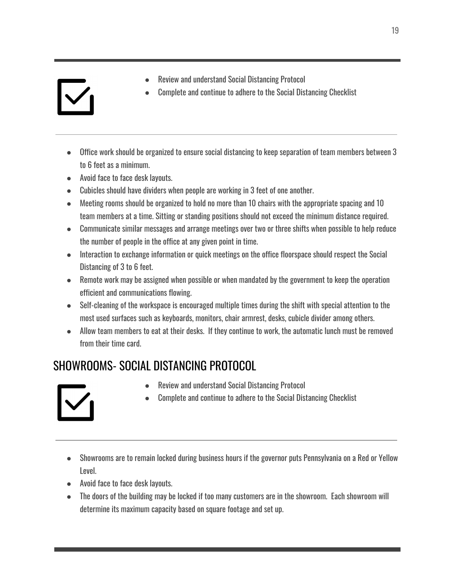● Office work should be organized to ensure social distancing to keep separation of team members between 3 to 6 feet as a minimum.

**Review and understand Social Distancing Protocol** 

Complete and continue to adhere to the Social Distancing Checklist

- Avoid face to face desk layouts.
- Cubicles should have dividers when people are working in 3 feet of one another.
- Meeting rooms should be organized to hold no more than 10 chairs with the appropriate spacing and 10 team members at a time. Sitting or standing positions should not exceed the minimum distance required.
- Communicate similar messages and arrange meetings over two or three shifts when possible to help reduce the number of people in the office at any given point in time.
- Interaction to exchange information or quick meetings on the office floorspace should respect the Social Distancing of 3 to 6 feet.
- Remote work may be assigned when possible or when mandated by the government to keep the operation efficient and communications flowing.
- Self-cleaning of the workspace is encouraged multiple times during the shift with special attention to the most used surfaces such as keyboards, monitors, chair armrest, desks, cubicle divider among others.
- Allow team members to eat at their desks. If they continue to work, the automatic lunch must be removed from their time card.

### <span id="page-18-0"></span>SHOWROOMS- SOCIAL DISTANCING PROTOCOL

- **Review and understand Social Distancing Protocol**
- Complete and continue to adhere to the Social Distancing Checklist



- Showrooms are to remain locked during business hours if the governor puts Pennsylvania on a Red or Yellow Level.
- Avoid face to face desk layouts.
- The doors of the building may be locked if too many customers are in the showroom. Each showroom will determine its maximum capacity based on square footage and set up.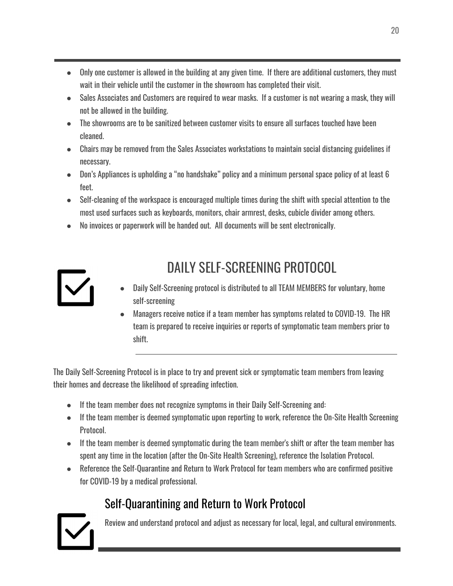- Only one customer is allowed in the building at any given time. If there are additional customers, they must wait in their vehicle until the customer in the showroom has completed their visit.
- Sales Associates and Customers are required to wear masks. If a customer is not wearing a mask, they will not be allowed in the building.
- The showrooms are to be sanitized between customer visits to ensure all surfaces touched have been cleaned.
- Chairs may be removed from the Sales Associates workstations to maintain social distancing guidelines if necessary.
- Don's Appliances is upholding a "no handshake" policy and a minimum personal space policy of at least 6 feet.
- Self-cleaning of the workspace is encouraged multiple times during the shift with special attention to the most used surfaces such as keyboards, monitors, chair armrest, desks, cubicle divider among others.
- <span id="page-19-0"></span>● No invoices or paperwork will be handed out. All documents will be sent electronically.



# DAILY SELF-SCREENING PROTOCOL

- Daily Self-Screening protocol is distributed to all TEAM MEMBERS for voluntary, home self-screening
- Managers receive notice if a team member has symptoms related to COVID-19. The HR team is prepared to receive inquiries or reports of symptomatic team members prior to shift.

The Daily Self-Screening Protocol is in place to try and prevent sick or symptomatic team members from leaving their homes and decrease the likelihood of spreading infection.

- If the team member does not recognize symptoms in their Daily Self-Screening and:
- If the team member is deemed symptomatic upon reporting to work, reference the On-Site Health Screening Protocol.
- If the team member is deemed symptomatic during the team member's shift or after the team member has spent any time in the location (after the On-Site Health Screening), reference the Isolation Protocol.
- Reference the Self-Quarantine and Return to Work Protocol for team members who are confirmed positive for COVID-19 by a medical professional.

## Self-Quarantining and Return to Work Protocol

<span id="page-19-1"></span>

Review and understand protocol and adjust as necessary for local, legal, and cultural environments.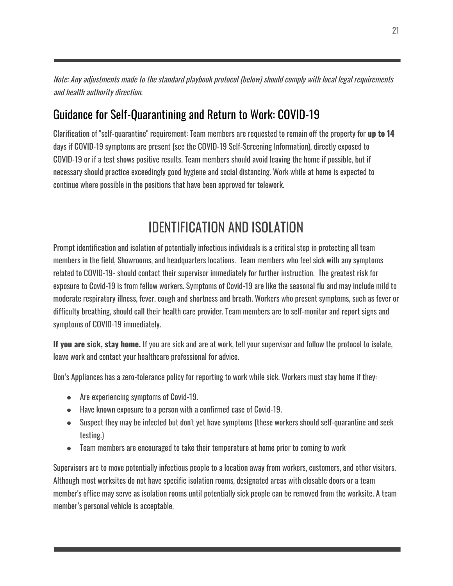Note: Any adjustments made to the standard playbook protocol (below) should comply with local legal requirements and health authority direction.

#### <span id="page-20-0"></span>Guidance for Self-Quarantining and Return to Work: COVID-19

Clarification of "self-quarantine" requirement: Team members are requested to remain off the property for **up to 14** days if COVID-19 symptoms are present (see the COVID-19 Self-Screening Information), directly exposed to COVID-19 or if a test shows positive results. Team members should avoid leaving the home if possible, but if necessary should practice exceedingly good hygiene and social distancing. Work while at home is expected to continue where possible in the positions that have been approved for telework.

# IDENTIFICATION AND ISOLATION

<span id="page-20-1"></span>Prompt identification and isolation of potentially infectious individuals is a critical step in protecting all team members in the field, Showrooms, and headquarters locations. Team members who feel sick with any symptoms related to COVID-19- should contact their supervisor immediately for further instruction. The greatest risk for exposure to Covid-19 is from fellow workers. Symptoms of Covid-19 are like the seasonal flu and may include mild to moderate respiratory illness, fever, cough and shortness and breath. Workers who present symptoms, such as fever or difficulty breathing, should call their health care provider. Team members are to self-monitor and report signs and symptoms of COVID-19 immediately.

**If you are sick, stay home.** If you are sick and are at work, tell your supervisor and follow the protocol to isolate, leave work and contact your healthcare professional for advice.

Don's Appliances has a zero-tolerance policy for reporting to work while sick. Workers must stay home if they:

- Are experiencing symptoms of Covid-19.
- Have known exposure to a person with a confirmed case of Covid-19.
- Suspect they may be infected but don't yet have symptoms (these workers should self-quarantine and seek testing.)
- Team members are encouraged to take their temperature at home prior to coming to work

Supervisors are to move potentially infectious people to a location away from workers, customers, and other visitors. Although most worksites do not have specific isolation rooms, designated areas with closable doors or a team member's office may serve as isolation rooms until potentially sick people can be removed from the worksite. A team member's personal vehicle is acceptable.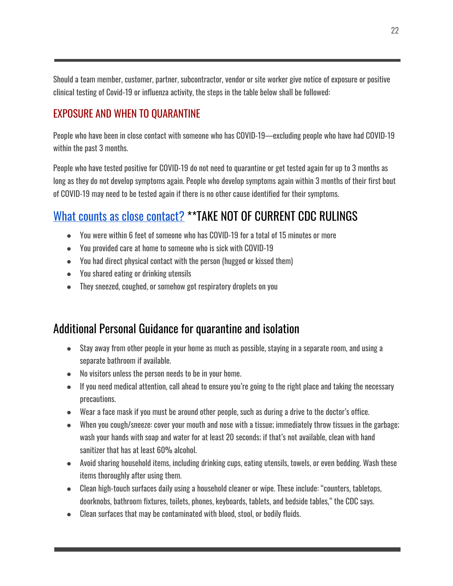Should a team member, customer, partner, subcontractor, vendor or site worker give notice of exposure or positive clinical testing of Covid-19 or influenza activity, the steps in the table below shall be followed:

#### <span id="page-21-0"></span>EXPOSURE AND WHEN TO QUARANTINE

People who have been in close contact with someone who has COVID-19—excluding people who have had COVID-19 within the past 3 months.

People who have tested positive for COVID-19 do not need to quarantine or get tested again for up to 3 months as long as they do not develop symptoms again. People who develop symptoms again within 3 months of their first bout of COVID-19 may need to be tested again if there is no other cause identified for their symptoms.

#### <span id="page-21-1"></span>What counts as close [contact?](https://www.cdc.gov/coronavirus/2019-ncov/if-you-are-sick/quarantine.html) \*\*TAKE NOT OF CURRENT CDC RULINGS

- You were within 6 feet of someone who has COVID-19 for a total of 15 minutes or more
- You provided care at home to someone who is sick with COVID-19
- You had direct physical contact with the person (hugged or kissed them)
- You shared eating or drinking utensils
- They sneezed, coughed, or somehow got respiratory droplets on you

#### <span id="page-21-2"></span>Additional Personal Guidance for quarantine and isolation

- Stay away from other people in your home as much as possible, staying in a separate room, and using a separate bathroom if available.
- No visitors unless the person needs to be in your home.
- If you need medical attention, call ahead to ensure you're going to the right place and taking the necessary precautions.
- Wear a face mask if you must be around other people, such as during a drive to the doctor's office.
- When you cough/sneeze: cover your mouth and nose with a tissue; immediately throw tissues in the garbage; wash your hands with soap and water for at least 20 seconds; if that's not available, clean with hand sanitizer that has at least 60% alcohol.
- Avoid sharing household items, including drinking cups, eating utensils, towels, or even bedding. Wash these items thoroughly after using them.
- Clean high-touch surfaces daily using a household cleaner or wipe. These include: "counters, tabletops, doorknobs, bathroom fixtures, toilets, phones, keyboards, tablets, and bedside tables," the CDC says.
- Clean surfaces that may be contaminated with blood, stool, or bodily fluids.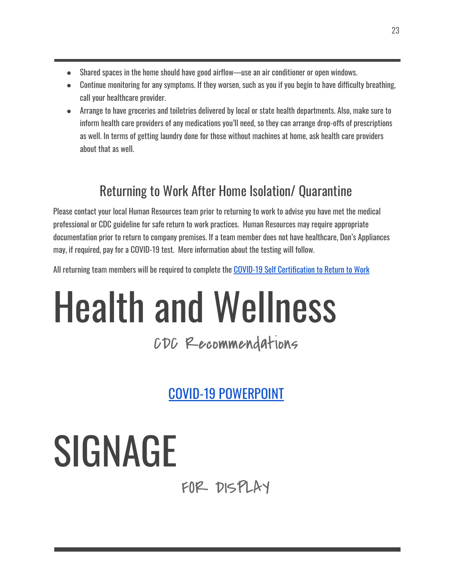- Shared spaces in the home should have good airflow—use an air conditioner or open windows.
- Continue monitoring for any symptoms. If they worsen, such as you if you begin to have difficulty breathing, call your healthcare provider.
- Arrange to have groceries and toiletries delivered by local or state health departments. Also, make sure to inform health care providers of any medications you'll need, so they can arrange drop-offs of prescriptions as well. In terms of getting laundry done for those without machines at home, ask health care providers about that as well.

# Returning to Work After Home Isolation/ Quarantine

<span id="page-22-0"></span>Please contact your local Human Resources team prior to returning to work to advise you have met the medical professional or CDC guideline for safe return to work practices. Human Resources may require appropriate documentation prior to return to company premises. If a team member does not have healthcare, Don's Appliances may, if required, pay for a COVID-19 test. More information about the testing will follow.

All returning team members will be required to complete the COVID-19 Self [Certification](https://documentcloud.adobe.com/link/track?uri=urn:aaid:scds:US:251fe52c-dc72-47fe-b647-c30a29e5c2dc) to Return to Work

# Health and Wellness

# CDC Recommendations

COVID-19 [POWERPOINT](https://documentcloud.adobe.com/link/track?uri=urn:aaid:scds:US:5b9c749b-a23b-4d1f-bac2-e34fe8a450bd)

# <span id="page-22-1"></span>SIGNAGE

FOR DISPLAY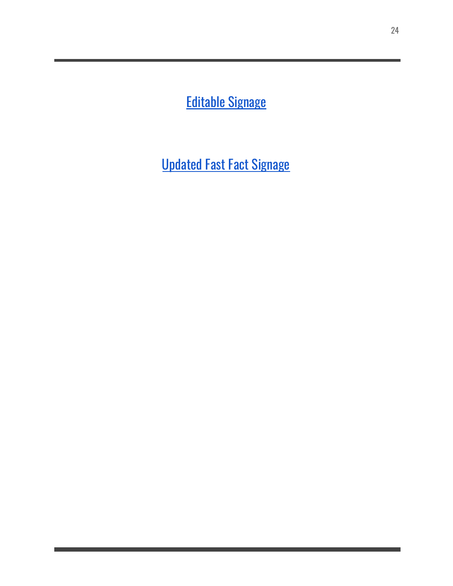<span id="page-23-0"></span>[Editable](https://sharesync.serverdata.net/us/s/EfzbSc4Cp8JA2WvFTKa8y6003d3b25) Signage

<span id="page-23-1"></span>[Updated](https://drive.google.com/a/donsappliances.com/file/d/1Lbmwd3lpwmjU7a9AWpRVulFkDkFwMavn/view?usp=drive_web) Fast Fact Signage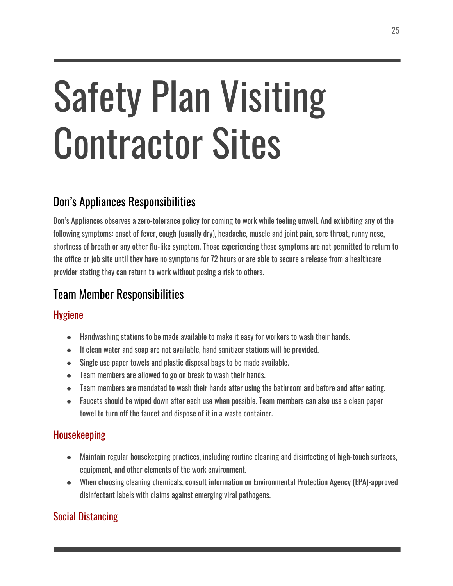# Safety Plan Visiting Contractor Sites

#### <span id="page-24-0"></span>Don's Appliances Responsibilities

Don's Appliances observes a zero-tolerance policy for coming to work while feeling unwell. And exhibiting any of the following symptoms: onset of fever, cough (usually dry), headache, muscle and joint pain, sore throat, runny nose, shortness of breath or any other flu-like symptom. Those experiencing these symptoms are not permitted to return to the office or job site until they have no symptoms for 72 hours or are able to secure a release from a healthcare provider stating they can return to work without posing a risk to others.

### <span id="page-24-1"></span>Team Member Responsibilities

#### <span id="page-24-2"></span>**Hygiene**

- Handwashing stations to be made available to make it easy for workers to wash their hands.
- If clean water and soap are not available, hand sanitizer stations will be provided.
- Single use paper towels and plastic disposal bags to be made available.
- Team members are allowed to go on break to wash their hands.
- Team members are mandated to wash their hands after using the bathroom and before and after eating.
- Faucets should be wiped down after each use when possible. Team members can also use a clean paper towel to turn off the faucet and dispose of it in a waste container.

#### <span id="page-24-3"></span>Housekeeping

- Maintain regular housekeeping practices, including routine cleaning and disinfecting of high-touch surfaces, equipment, and other elements of the work environment.
- When choosing cleaning chemicals, consult information on Environmental Protection Agency (EPA)-approved disinfectant labels with claims against emerging viral pathogens.

#### <span id="page-24-4"></span>Social Distancing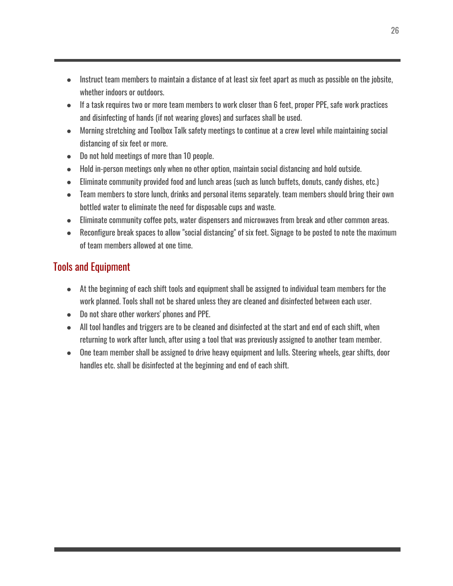- Instruct team members to maintain a distance of at least six feet apart as much as possible on the jobsite, whether indoors or outdoors.
- If a task requires two or more team members to work closer than 6 feet, proper PPE, safe work practices and disinfecting of hands (if not wearing gloves) and surfaces shall be used.
- Morning stretching and Toolbox Talk safety meetings to continue at a crew level while maintaining social distancing of six feet or more.
- Do not hold meetings of more than 10 people.
- Hold in-person meetings only when no other option, maintain social distancing and hold outside.
- Eliminate community provided food and lunch areas (such as lunch buffets, donuts, candy dishes, etc.)
- Team members to store lunch, drinks and personal items separately. team members should bring their own bottled water to eliminate the need for disposable cups and waste.
- Eliminate community coffee pots, water dispensers and microwaves from break and other common areas.
- Reconfigure break spaces to allow "social distancing" of six feet. Signage to be posted to note the maximum of team members allowed at one time.

#### <span id="page-25-0"></span>Tools and Equipment

- At the beginning of each shift tools and equipment shall be assigned to individual team members for the work planned. Tools shall not be shared unless they are cleaned and disinfected between each user.
- Do not share other workers' phones and PPE.
- All tool handles and triggers are to be cleaned and disinfected at the start and end of each shift, when returning to work after lunch, after using a tool that was previously assigned to another team member.
- One team member shall be assigned to drive heavy equipment and lulls. Steering wheels, gear shifts, door handles etc. shall be disinfected at the beginning and end of each shift.